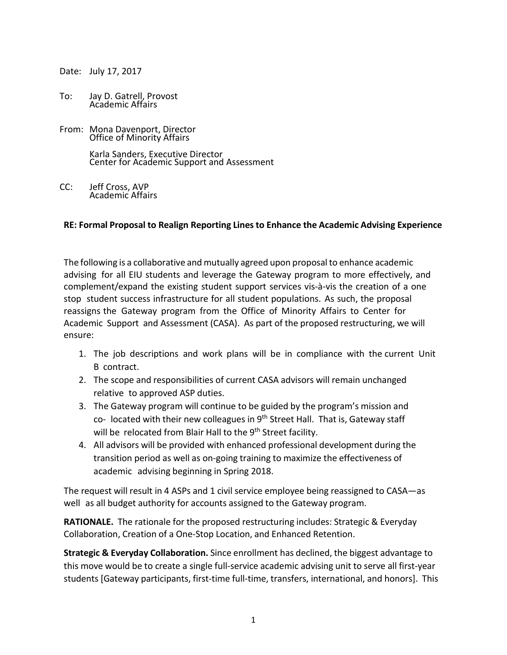Date: July 17, 2017

- To: Jay D. Gatrell, Provost Academic Affairs
- From: Mona Davenport, Director Office of Minority Affairs

Karla Sanders, Executive Director Center for Academic Support and Assessment

CC: Jeff Cross, AVP Academic Affairs

## **RE: Formal Proposal to Realign Reporting Linesto Enhance the Academic Advising Experience**

The following is a collaborative and mutually agreed upon proposalto enhance academic advising for all EIU students and leverage the Gateway program to more effectively, and complement/expand the existing student support services vis-à-vis the creation of a one stop student success infrastructure for all student populations. As such, the proposal reassigns the Gateway program from the Office of Minority Affairs to Center for Academic Support and Assessment (CASA). As part of the proposed restructuring, we will ensure:

- 1. The job descriptions and work plans will be in compliance with the current Unit B contract.
- 2. The scope and responsibilities of current CASA advisors will remain unchanged relative to approved ASP duties.
- 3. The Gateway program will continue to be guided by the program's mission and co- located with their new colleagues in 9<sup>th</sup> Street Hall. That is, Gateway staff will be relocated from Blair Hall to the 9<sup>th</sup> Street facility.
- 4. All advisors will be provided with enhanced professional development during the transition period as well as on-going training to maximize the effectiveness of academic advising beginning in Spring 2018.

The request will result in 4 ASPs and 1 civil service employee being reassigned to CASA—as well as all budget authority for accounts assigned to the Gateway program.

**RATIONALE.** The rationale for the proposed restructuring includes: Strategic & Everyday Collaboration, Creation of a One-Stop Location, and Enhanced Retention.

**Strategic & Everyday Collaboration.** Since enrollment has declined, the biggest advantage to this move would be to create a single full-service academic advising unit to serve all first-year students [Gateway participants, first-time full-time, transfers, international, and honors]. This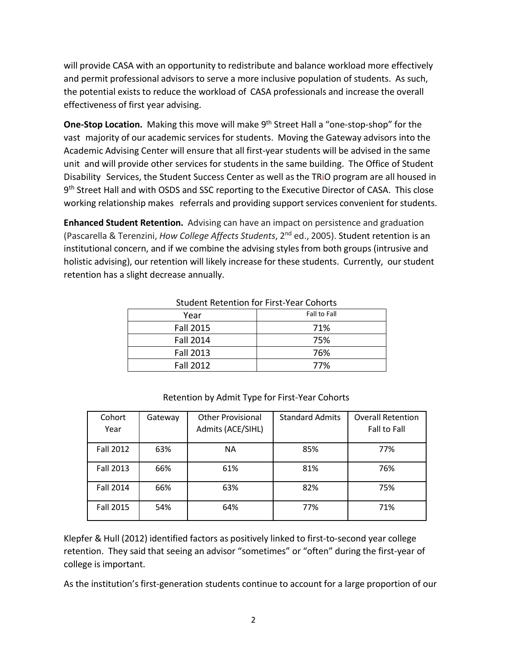will provide CASA with an opportunity to redistribute and balance workload more effectively and permit professional advisors to serve a more inclusive population of students. As such, the potential exists to reduce the workload of CASA professionals and increase the overall effectiveness of first year advising.

**One-Stop Location.** Making this move will make 9<sup>th</sup> Street Hall a "one-stop-shop" for the vast majority of our academic services for students. Moving the Gateway advisors into the Academic Advising Center will ensure that all first-year students will be advised in the same unit and will provide other services for students in the same building. The Office of Student Disability Services, the Student Success Center as well as the TRiO program are all housed in 9<sup>th</sup> Street Hall and with OSDS and SSC reporting to the Executive Director of CASA. This close working relationship makes referrals and providing support services convenient for students.

**Enhanced Student Retention.** Advising can have an impact on persistence and graduation (Pascarella & Terenzini, *How College Affects Students*, 2 nd ed., 2005). Student retention is an institutional concern, and if we combine the advising styles from both groups (intrusive and holistic advising), our retention will likely increase for these students. Currently, our student retention has a slight decrease annually.

| Year             | Fall to Fall |  |  |
|------------------|--------------|--|--|
| <b>Fall 2015</b> | 71%          |  |  |
| <b>Fall 2014</b> | 75%          |  |  |
| <b>Fall 2013</b> | 76%          |  |  |
| <b>Fall 2012</b> | 77%          |  |  |

Student Retention for First-Year Cohorts

| Cohort           | Gateway | <b>Other Provisional</b> | <b>Standard Admits</b> | <b>Overall Retention</b> |
|------------------|---------|--------------------------|------------------------|--------------------------|
| Year             |         | Admits (ACE/SIHL)        |                        | Fall to Fall             |
| <b>Fall 2012</b> | 63%     | <b>NA</b>                | 85%                    | 77%                      |
| <b>Fall 2013</b> | 66%     | 61%                      | 81%                    | 76%                      |
| <b>Fall 2014</b> | 66%     | 63%                      | 82%                    | 75%                      |
| <b>Fall 2015</b> | 54%     | 64%                      | 77%                    | 71%                      |

## Retention by Admit Type for First-Year Cohorts

Klepfer & Hull (2012) identified factors as positively linked to first-to-second year college retention. They said that seeing an advisor "sometimes" or "often" during the first-year of college is important.

As the institution's first-generation students continue to account for a large proportion of our